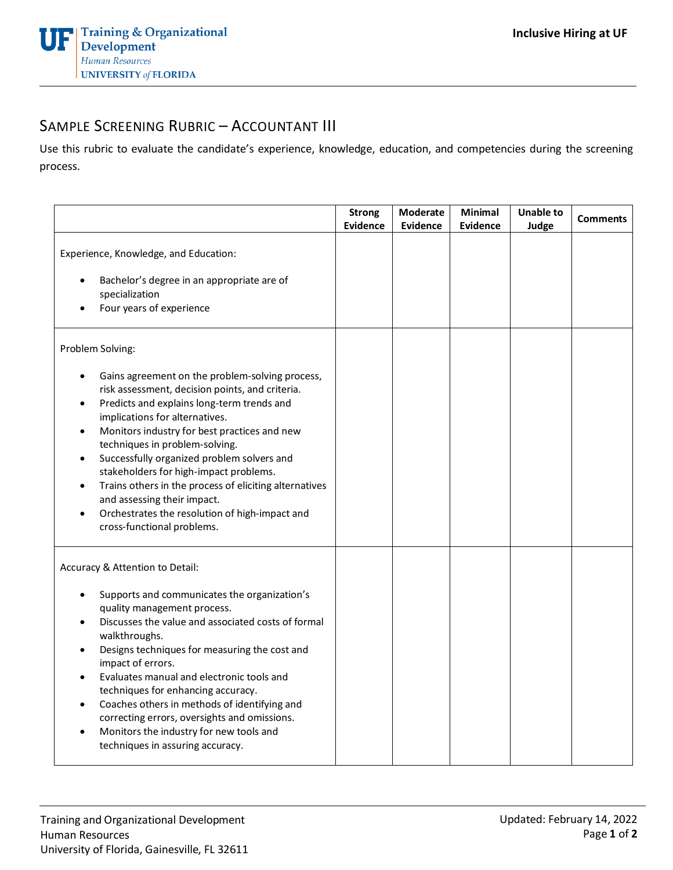## SAMPLE SCREENING RUBRIC – ACCOUNTANT III

Use this rubric to evaluate the candidate's experience, knowledge, education, and competencies during the screening process.

|                                                                                                                                                                                                                                                                                                                                                                                                                                                                                                                                                                              | <b>Strong</b><br><b>Evidence</b> | Moderate<br><b>Evidence</b> | Minimal<br><b>Evidence</b> | <b>Unable to</b><br>Judge | <b>Comments</b> |
|------------------------------------------------------------------------------------------------------------------------------------------------------------------------------------------------------------------------------------------------------------------------------------------------------------------------------------------------------------------------------------------------------------------------------------------------------------------------------------------------------------------------------------------------------------------------------|----------------------------------|-----------------------------|----------------------------|---------------------------|-----------------|
| Experience, Knowledge, and Education:<br>Bachelor's degree in an appropriate are of<br>specialization<br>Four years of experience                                                                                                                                                                                                                                                                                                                                                                                                                                            |                                  |                             |                            |                           |                 |
| Problem Solving:                                                                                                                                                                                                                                                                                                                                                                                                                                                                                                                                                             |                                  |                             |                            |                           |                 |
| Gains agreement on the problem-solving process,<br>risk assessment, decision points, and criteria.<br>Predicts and explains long-term trends and<br>$\bullet$<br>implications for alternatives.<br>Monitors industry for best practices and new<br>$\bullet$<br>techniques in problem-solving.<br>Successfully organized problem solvers and<br>stakeholders for high-impact problems.<br>Trains others in the process of eliciting alternatives<br>$\bullet$<br>and assessing their impact.<br>Orchestrates the resolution of high-impact and<br>cross-functional problems. |                                  |                             |                            |                           |                 |
| Accuracy & Attention to Detail:<br>Supports and communicates the organization's<br>quality management process.<br>Discusses the value and associated costs of formal<br>walkthroughs.<br>Designs techniques for measuring the cost and<br>impact of errors.<br>Evaluates manual and electronic tools and<br>techniques for enhancing accuracy.<br>Coaches others in methods of identifying and<br>correcting errors, oversights and omissions.<br>Monitors the industry for new tools and<br>techniques in assuring accuracy.                                                |                                  |                             |                            |                           |                 |